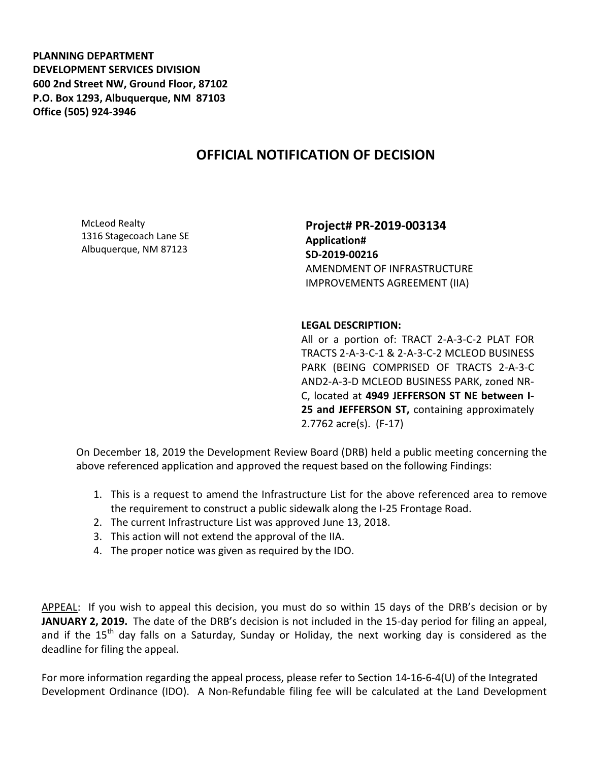**PLANNING DEPARTMENT DEVELOPMENT SERVICES DIVISION 600 2nd Street NW, Ground Floor, 87102 P.O. Box 1293, Albuquerque, NM 87103 Office (505) 924-3946** 

## **OFFICIAL NOTIFICATION OF DECISION**

McLeod Realty 1316 Stagecoach Lane SE Albuquerque, NM 87123

**Project# PR-2019-003134 Application# SD-2019-00216** AMENDMENT OF INFRASTRUCTURE IMPROVEMENTS AGREEMENT (IIA)

**LEGAL DESCRIPTION:**

All or a portion of: TRACT 2-A-3-C-2 PLAT FOR TRACTS 2-A-3-C-1 & 2-A-3-C-2 MCLEOD BUSINESS PARK (BEING COMPRISED OF TRACTS 2-A-3-C AND2-A-3-D MCLEOD BUSINESS PARK, zoned NR-C, located at **4949 JEFFERSON ST NE between I-25 and JEFFERSON ST,** containing approximately 2.7762 acre(s). (F-17)

On December 18, 2019 the Development Review Board (DRB) held a public meeting concerning the above referenced application and approved the request based on the following Findings:

- 1. This is a request to amend the Infrastructure List for the above referenced area to remove the requirement to construct a public sidewalk along the I-25 Frontage Road.
- 2. The current Infrastructure List was approved June 13, 2018.
- 3. This action will not extend the approval of the IIA.
- 4. The proper notice was given as required by the IDO.

APPEAL: If you wish to appeal this decision, you must do so within 15 days of the DRB's decision or by **JANUARY 2, 2019.** The date of the DRB's decision is not included in the 15-day period for filing an appeal, and if the 15<sup>th</sup> day falls on a Saturday, Sunday or Holiday, the next working day is considered as the deadline for filing the appeal.

For more information regarding the appeal process, please refer to Section 14-16-6-4(U) of the Integrated Development Ordinance (IDO). A Non-Refundable filing fee will be calculated at the Land Development